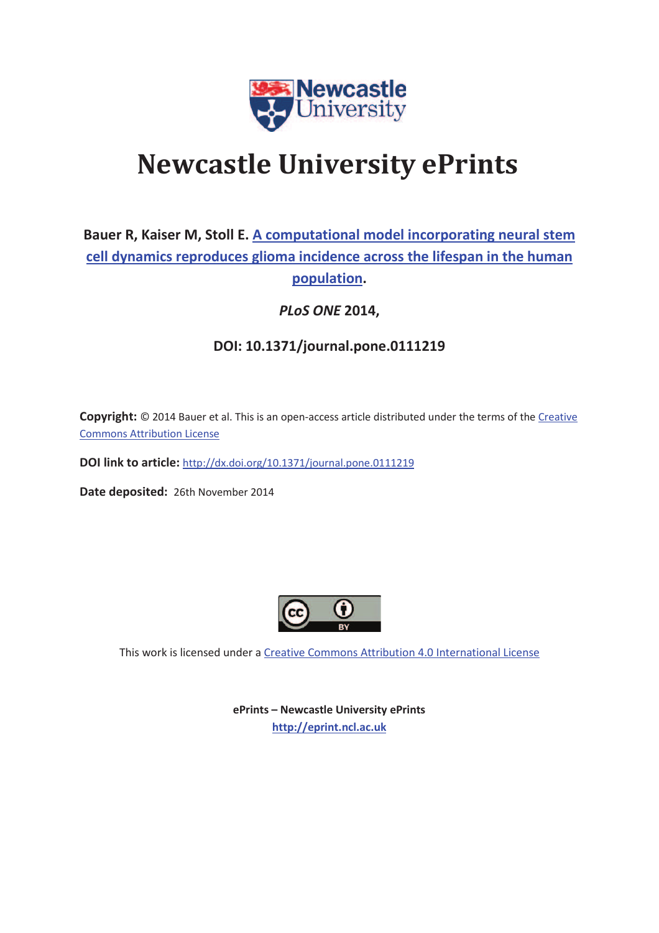

# **Newcastle University ePrints**

### **Bauer R, Kaiser M, Stoll E. A computational model incorporating neural stem cell dynamics reproduces glioma incidence across the lifespan in the human population.**

### *PLoS ONE* **2014,**

### **DOI: 10.1371/journal.pone.0111219**

**Copyright:** © 2014 Bauer et al. This is an open-access article distributed under the terms of the Creative Commons Attribution License

**DOI link to article:** http://dx.doi.org/10.1371/journal.pone.0111219

**Date deposited:** 26th November 2014



This work is licensed under a Creative Commons Attribution 4.0 International License

**ePrints – Newcastle University ePrints http://eprint.ncl.ac.uk**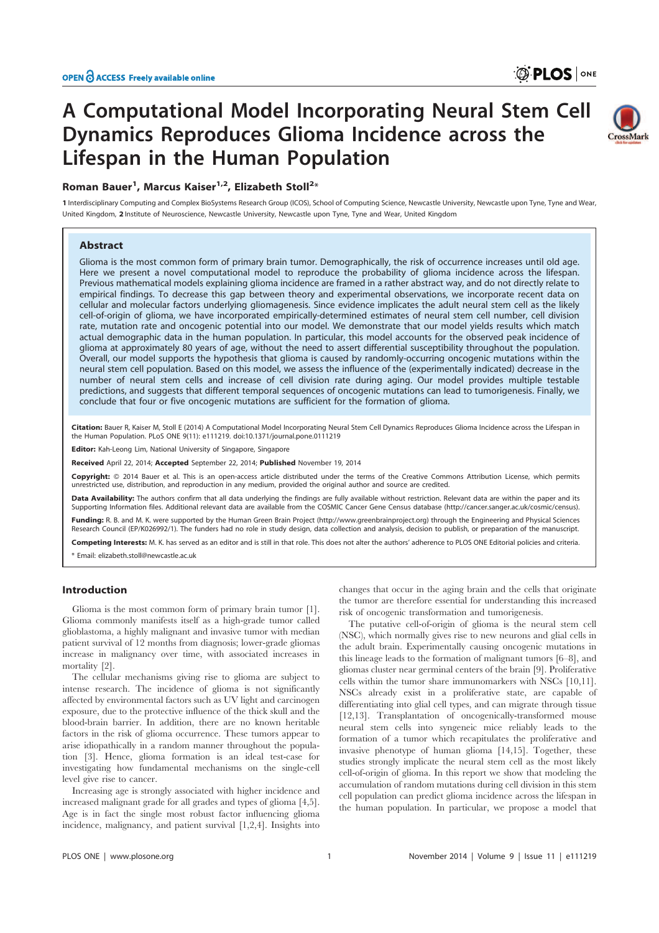## A Computational Model Incorporating Neural Stem Cell Dynamics Reproduces Glioma Incidence across the Lifespan in the Human Population



#### Roman Bauer<sup>1</sup>, Marcus Kaiser<sup>1,2</sup>, Elizabeth Stoll<sup>2</sup>\*

1 Interdisciplinary Computing and Complex BioSystems Research Group (ICOS), School of Computing Science, Newcastle University, Newcastle upon Tyne, Tyne and Wear, United Kingdom, 2 Institute of Neuroscience, Newcastle University, Newcastle upon Tyne, Tyne and Wear, United Kingdom

#### Abstract

Glioma is the most common form of primary brain tumor. Demographically, the risk of occurrence increases until old age. Here we present a novel computational model to reproduce the probability of glioma incidence across the lifespan. Previous mathematical models explaining glioma incidence are framed in a rather abstract way, and do not directly relate to empirical findings. To decrease this gap between theory and experimental observations, we incorporate recent data on cellular and molecular factors underlying gliomagenesis. Since evidence implicates the adult neural stem cell as the likely cell-of-origin of glioma, we have incorporated empirically-determined estimates of neural stem cell number, cell division rate, mutation rate and oncogenic potential into our model. We demonstrate that our model yields results which match actual demographic data in the human population. In particular, this model accounts for the observed peak incidence of glioma at approximately 80 years of age, without the need to assert differential susceptibility throughout the population. Overall, our model supports the hypothesis that glioma is caused by randomly-occurring oncogenic mutations within the neural stem cell population. Based on this model, we assess the influence of the (experimentally indicated) decrease in the number of neural stem cells and increase of cell division rate during aging. Our model provides multiple testable predictions, and suggests that different temporal sequences of oncogenic mutations can lead to tumorigenesis. Finally, we conclude that four or five oncogenic mutations are sufficient for the formation of glioma.

Citation: Bauer R, Kaiser M, Stoll E (2014) A Computational Model Incorporating Neural Stem Cell Dynamics Reproduces Glioma Incidence across the Lifespan in the Human Population. PLoS ONE 9(11): e111219. doi:10.1371/journal.pone.0111219

Editor: Kah-Leong Lim, National University of Singapore, Singapore

Received April 22, 2014; Accepted September 22, 2014; Published November 19, 2014

Copyright: © 2014 Bauer et al. This is an open-access article distributed under the terms of the Creative Commons Attribution License, which permits unrestricted use, distribution, and reproduction in any medium, provided the original author and source are credited.

Data Availability: The authors confirm that all data underlying the findings are fully available without restriction. Relevant data are within the paper and its Supporting Information files. Additional relevant data are available from the COSMIC Cancer Gene Census database (http://cancer.sanger.ac.uk/cosmic/census).

Funding: R. B. and M. K. were supported by the Human Green Brain Project (http://www.greenbrainproject.org) through the Engineering and Physical Sciences Research Council (EP/K026992/1). The funders had no role in study design, data collection and analysis, decision to publish, or preparation of the manuscript.

Competing Interests: M. K. has served as an editor and is still in that role. This does not alter the authors' adherence to PLOS ONE Editorial policies and criteria. \* Email: elizabeth.stoll@newcastle.ac.uk

#### Introduction

Glioma is the most common form of primary brain tumor [1]. Glioma commonly manifests itself as a high-grade tumor called glioblastoma, a highly malignant and invasive tumor with median patient survival of 12 months from diagnosis; lower-grade gliomas increase in malignancy over time, with associated increases in mortality [2].

The cellular mechanisms giving rise to glioma are subject to intense research. The incidence of glioma is not significantly affected by environmental factors such as UV light and carcinogen exposure, due to the protective influence of the thick skull and the blood-brain barrier. In addition, there are no known heritable factors in the risk of glioma occurrence. These tumors appear to arise idiopathically in a random manner throughout the population [3]. Hence, glioma formation is an ideal test-case for investigating how fundamental mechanisms on the single-cell level give rise to cancer.

Increasing age is strongly associated with higher incidence and increased malignant grade for all grades and types of glioma [4,5]. Age is in fact the single most robust factor influencing glioma incidence, malignancy, and patient survival [1,2,4]. Insights into

changes that occur in the aging brain and the cells that originate the tumor are therefore essential for understanding this increased risk of oncogenic transformation and tumorigenesis.

The putative cell-of-origin of glioma is the neural stem cell (NSC), which normally gives rise to new neurons and glial cells in the adult brain. Experimentally causing oncogenic mutations in this lineage leads to the formation of malignant tumors [6–8], and gliomas cluster near germinal centers of the brain [9]. Proliferative cells within the tumor share immunomarkers with NSCs [10,11]. NSCs already exist in a proliferative state, are capable of differentiating into glial cell types, and can migrate through tissue [12,13]. Transplantation of oncogenically-transformed mouse neural stem cells into syngeneic mice reliably leads to the formation of a tumor which recapitulates the proliferative and invasive phenotype of human glioma [14,15]. Together, these studies strongly implicate the neural stem cell as the most likely cell-of-origin of glioma. In this report we show that modeling the accumulation of random mutations during cell division in this stem cell population can predict glioma incidence across the lifespan in the human population. In particular, we propose a model that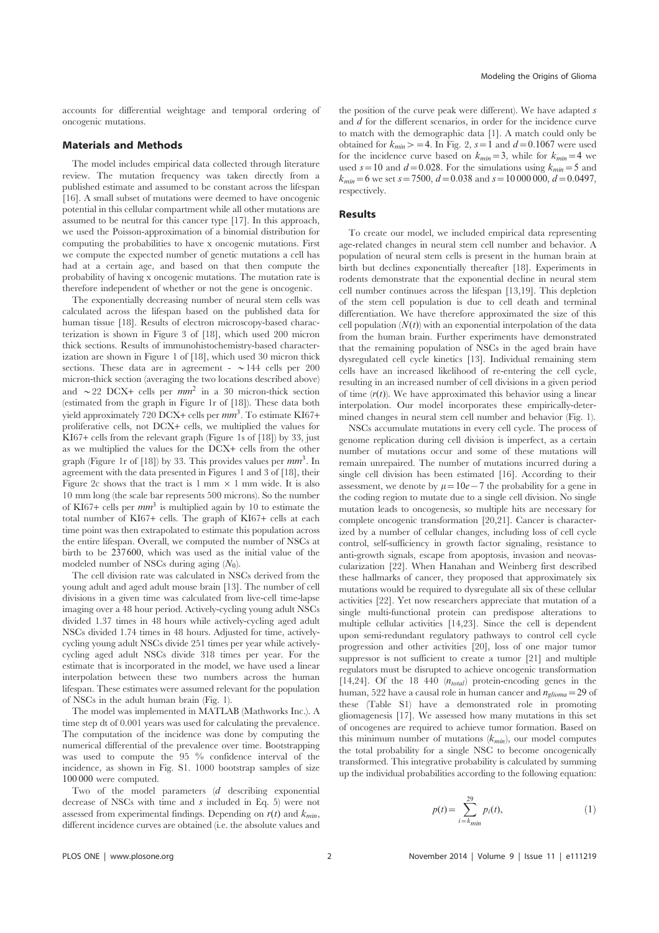accounts for differential weightage and temporal ordering of oncogenic mutations.

#### Materials and Methods

The model includes empirical data collected through literature review. The mutation frequency was taken directly from a published estimate and assumed to be constant across the lifespan [16]. A small subset of mutations were deemed to have oncogenic potential in this cellular compartment while all other mutations are assumed to be neutral for this cancer type [17]. In this approach, we used the Poisson-approximation of a binomial distribution for computing the probabilities to have x oncogenic mutations. First we compute the expected number of genetic mutations a cell has had at a certain age, and based on that then compute the probability of having x oncogenic mutations. The mutation rate is therefore independent of whether or not the gene is oncogenic.

The exponentially decreasing number of neural stem cells was calculated across the lifespan based on the published data for human tissue [18]. Results of electron microscopy-based characterization is shown in Figure 3 of [18], which used 200 micron thick sections. Results of immunohistochemistry-based characterization are shown in Figure 1 of [18], which used 30 micron thick sections. These data are in agreement -  $\sim$  144 cells per 200 micron-thick section (averaging the two locations described above) and  $\sim$  22 DCX+ cells per  $mm^2$  in a 30 micron-thick section (estimated from the graph in Figure 1r of [18]). These data both yield approximately 720 DCX+ cells per  $mm^3$ . To estimate KI67+ proliferative cells, not DCX+ cells, we multiplied the values for KI67+ cells from the relevant graph (Figure 1s of [18]) by 33, just as we multiplied the values for the DCX+ cells from the other graph (Figure 1r of [18]) by 33. This provides values per mm<sup>3</sup>. In agreement with the data presented in Figures 1 and 3 of [18], their Figure 2c shows that the tract is  $1 \text{ mm} \times 1 \text{ mm}$  wide. It is also 10 mm long (the scale bar represents 500 microns). So the number of KI67+ cells per  $mm^3$  is multiplied again by 10 to estimate the total number of KI67+ cells. The graph of KI67+ cells at each time point was then extrapolated to estimate this population across the entire lifespan. Overall, we computed the number of NSCs at birth to be 237600, which was used as the initial value of the modeled number of NSCs during aging  $(N_0)$ .

The cell division rate was calculated in NSCs derived from the young adult and aged adult mouse brain [13]. The number of cell divisions in a given time was calculated from live-cell time-lapse imaging over a 48 hour period. Actively-cycling young adult NSCs divided 1.37 times in 48 hours while actively-cycling aged adult NSCs divided 1.74 times in 48 hours. Adjusted for time, activelycycling young adult NSCs divide 251 times per year while activelycycling aged adult NSCs divide 318 times per year. For the estimate that is incorporated in the model, we have used a linear interpolation between these two numbers across the human lifespan. These estimates were assumed relevant for the population of NSCs in the adult human brain (Fig. 1).

The model was implemented in MATLAB (Mathworks Inc.). A time step dt of 0.001 years was used for calculating the prevalence. The computation of the incidence was done by computing the numerical differential of the prevalence over time. Bootstrapping was used to compute the 95 % confidence interval of the incidence, as shown in Fig. S1. 1000 bootstrap samples of size 100 000 were computed.

Two of the model parameters (d describing exponential decrease of NSCs with time and s included in Eq. 5) were not assessed from experimental findings. Depending on  $r(t)$  and  $k_{min}$ , different incidence curves are obtained (i.e. the absolute values and the position of the curve peak were different). We have adapted s and d for the different scenarios, in order for the incidence curve to match with the demographic data [1]. A match could only be obtained for  $k_{min} > 4$ . In Fig. 2, s=1 and d=0.1067 were used for the incidence curve based on  $k_{min}=3$ , while for  $k_{min}=4$  we used  $s=10$  and  $d=0.028$ . For the simulations using  $k_{min}=5$  and  $k_{min} = 6$  we set  $s = 7500$ ,  $d = 0.038$  and  $s = 10000000$ ,  $d = 0.0497$ , respectively.

#### Results

To create our model, we included empirical data representing age-related changes in neural stem cell number and behavior. A population of neural stem cells is present in the human brain at birth but declines exponentially thereafter [18]. Experiments in rodents demonstrate that the exponential decline in neural stem cell number continues across the lifespan [13,19]. This depletion of the stem cell population is due to cell death and terminal differentiation. We have therefore approximated the size of this cell population  $(N(t))$  with an exponential interpolation of the data from the human brain. Further experiments have demonstrated that the remaining population of NSCs in the aged brain have dysregulated cell cycle kinetics [13]. Individual remaining stem cells have an increased likelihood of re-entering the cell cycle, resulting in an increased number of cell divisions in a given period of time  $(r(t))$ . We have approximated this behavior using a linear interpolation. Our model incorporates these empirically-determined changes in neural stem cell number and behavior (Fig. 1).

NSCs accumulate mutations in every cell cycle. The process of genome replication during cell division is imperfect, as a certain number of mutations occur and some of these mutations will remain unrepaired. The number of mutations incurred during a single cell division has been estimated [16]. According to their assessment, we denote by  $\mu = 10e - 7$  the probability for a gene in the coding region to mutate due to a single cell division. No single mutation leads to oncogenesis, so multiple hits are necessary for complete oncogenic transformation [20,21]. Cancer is characterized by a number of cellular changes, including loss of cell cycle control, self-sufficiency in growth factor signaling, resistance to anti-growth signals, escape from apoptosis, invasion and neovascularization [22]. When Hanahan and Weinberg first described these hallmarks of cancer, they proposed that approximately six mutations would be required to dysregulate all six of these cellular activities [22]. Yet now researchers appreciate that mutation of a single multi-functional protein can predispose alterations to multiple cellular activities [14,23]. Since the cell is dependent upon semi-redundant regulatory pathways to control cell cycle progression and other activities [20], loss of one major tumor suppressor is not sufficient to create a tumor [21] and multiple regulators must be disrupted to achieve oncogenic transformation [14,24]. Of the 18 440  $(n_{total})$  protein-encoding genes in the human, 522 have a causal role in human cancer and  $n_{glioma}=29$  of these (Table S1) have a demonstrated role in promoting gliomagenesis [17]. We assessed how many mutations in this set of oncogenes are required to achieve tumor formation. Based on this minimum number of mutations  $(k_{min})$ , our model computes the total probability for a single NSC to become oncogenically transformed. This integrative probability is calculated by summing up the individual probabilities according to the following equation:

$$
p(t) = \sum_{i = k_{min}}^{29} p_i(t),
$$
 (1)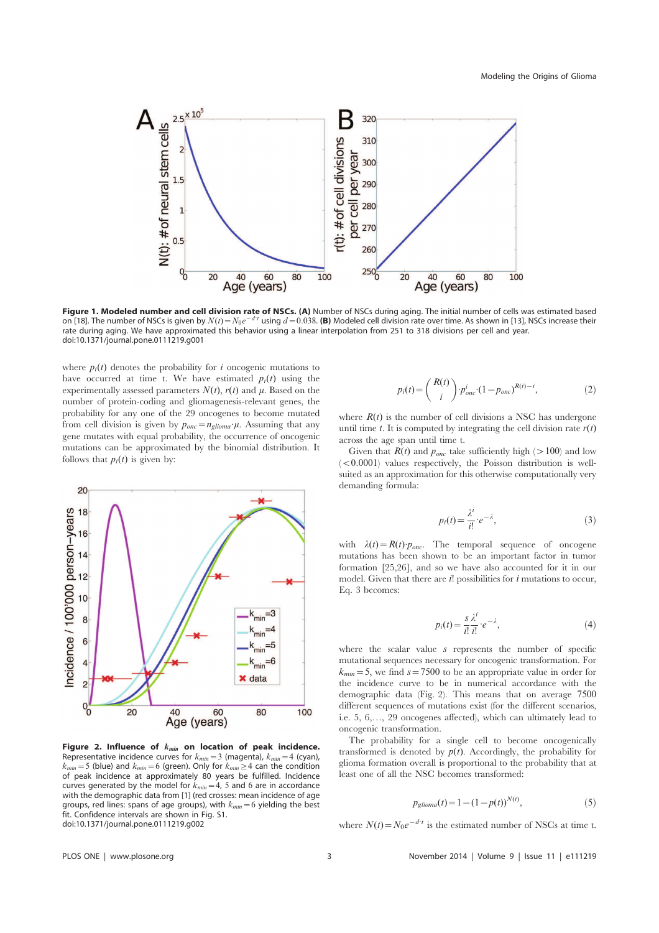

Figure 1. Modeled number and cell division rate of NSCs. (A) Number of NSCs during aging. The initial number of cells was estimated based Tydie 1. Modeled Hamber and central significate of NSCs. (A) Namber of NSCs damigraging. The lindar hamber of cells was estimated based on [18]. The number of NSCs increase their control of NSCs increase their rate during aging. We have approximated this behavior using a linear interpolation from 251 to 318 divisions per cell and year. doi:10.1371/journal.pone.0111219.g001

where  $p_i(t)$  denotes the probability for i oncogenic mutations to have occurred at time t. We have estimated  $p_i(t)$  using the experimentally assessed parameters  $N(t)$ ,  $r(t)$  and  $\mu$ . Based on the number of protein-coding and gliomagenesis-relevant genes, the probability for any one of the 29 oncogenes to become mutated from cell division is given by  $p_{\text{one}} = n_{\text{glioma}} \cdot \mu$ . Assuming that any gene mutates with equal probability, the occurrence of oncogenic mutations can be approximated by the binomial distribution. It follows that  $p_i(t)$  is given by:



Figure 2. Influence of  $k_{min}$  on location of peak incidence. Representative incidence curves for  $k_{min}=3$  (magenta),  $k_{min}=4$  (cyan),  $k_{min}=5$  (blue) and  $k_{min}=6$  (green). Only for  $k_{min}\geq4$  can the condition of peak incidence at approximately 80 years be fulfilled. Incidence curves generated by the model for  $k_{min}=4$ , 5 and 6 are in accordance with the demographic data from [1] (red crosses: mean incidence of age groups, red lines: spans of age groups), with  $k_{min}=6$  yielding the best fit. Confidence intervals are shown in Fig. S1. doi:10.1371/journal.pone.0111219.g002

$$
p_i(t) = \binom{R(t)}{i} p_{\text{one}}^i (1 - p_{\text{one}})^{R(t) - i},\tag{2}
$$

where  $R(t)$  is the number of cell divisions a NSC has undergone until time  $t$ . It is computed by integrating the cell division rate  $r(t)$ across the age span until time t.

Given that  $R(t)$  and  $p_{\text{one}}$  take sufficiently high (>100) and low  $(<0.0001$ ) values respectively, the Poisson distribution is wellsuited as an approximation for this otherwise computationally very demanding formula:

$$
p_i(t) = \frac{\lambda^i}{i!} \cdot e^{-\lambda},\tag{3}
$$

with  $\lambda(t) = R(t) \cdot p_{\text{onc}}$ . The temporal sequence of oncogene mutations has been shown to be an important factor in tumor formation [25,26], and so we have also accounted for it in our model. Given that there are  $i!$  possibilities for  $i$  mutations to occur, Eq. 3 becomes:

$$
p_i(t) = \frac{s}{i!} \frac{\lambda^i}{i!} \cdot e^{-\lambda},\tag{4}
$$

where the scalar value  $s$  represents the number of specific mutational sequences necessary for oncogenic transformation. For  $k_{min} = 5$ , we find  $s = 7500$  to be an appropriate value in order for the incidence curve to be in numerical accordance with the demographic data (Fig. 2). This means that on average 7500 different sequences of mutations exist (for the different scenarios, i.e. 5, 6,…, 29 oncogenes affected), which can ultimately lead to oncogenic transformation.

The probability for a single cell to become oncogenically transformed is denoted by  $p(t)$ . Accordingly, the probability for glioma formation overall is proportional to the probability that at least one of all the NSC becomes transformed:

$$
p_{gliom}(t) = 1 - (1 - p(t))^{N(t)},
$$
\n(5)

where  $N(t) = N_0e^{-dt}$  is the estimated number of NSCs at time t.

PLOS ONE | www.plosone.org 3 November 2014 | Volume 9 | Issue 11 | e111219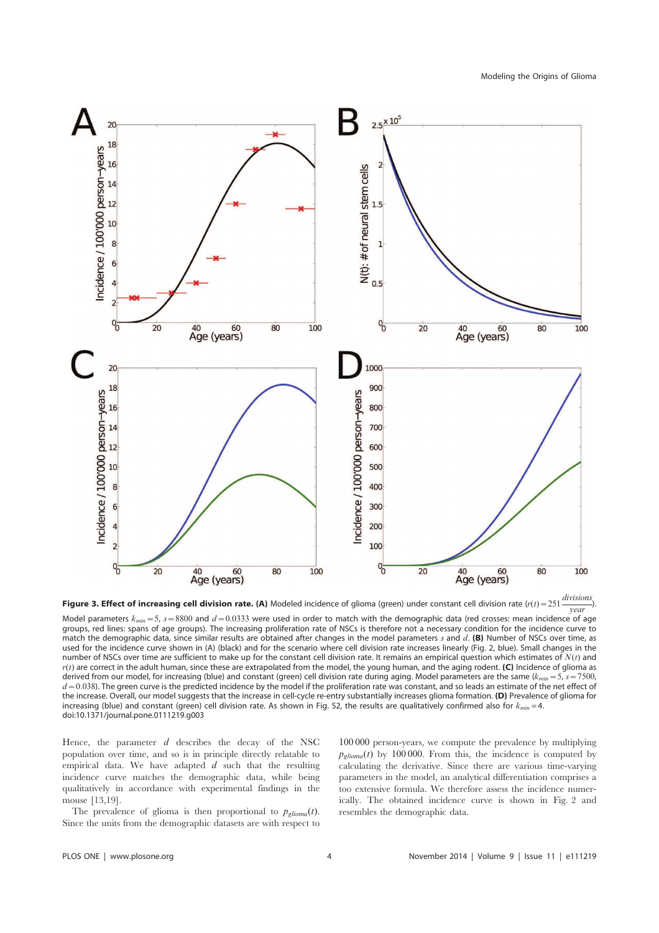

**Figure 3. Effect of increasing cell division rate. (A)** Modeled incidence of glioma (green) under constant cell division rate (r(t) = 251  $\frac{divisions}{year}$ ). Model parameters  $k_{min}=5$ ,  $s=8800$  and  $d=0.0333$  were used in order to match with the demographic data (red crosses: mean incidence of age groups, red lines: spans of age groups). The increasing proliferation rate of NSCs is therefore not a necessary condition for the incidence curve to match the demographic data, since similar results are obtained after changes in the model parameters  $s$  and  $d$ . (B) Number of NSCs over time, as used for the incidence curve shown in (A) (black) and for the scenario where cell division rate increases linearly (Fig. 2, blue). Small changes in the number of NSCs over time are sufficient to make up for the constant cell division rate. It remains an empirical question which estimates of  $N(t)$  and  $r(t)$  are correct in the adult human, since these are extrapolated from the model, the young human, and the aging rodent. (C) Incidence of glioma as derived from our model, for increasing (blue) and constant (green) cell division rate during aging. Model parameters are the same ( $k_{min}=5$ ,  $s=7500$ ,  $d=0.038$ ). The green curve is the predicted incidence by the model if the proliferation rate was constant, and so leads an estimate of the net effect of the increase. Overall, our model suggests that the increase in cell-cycle re-entry substantially increases glioma formation. (D) Prevalence of glioma for increasing (blue) and constant (green) cell division rate. As shown in Fig. S2, the results are qualitatively confirmed also for  $k_{min} = 4$ . doi:10.1371/journal.pone.0111219.g003

Hence, the parameter  $d$  describes the decay of the NSC population over time, and so is in principle directly relatable to empirical data. We have adapted  $d$  such that the resulting incidence curve matches the demographic data, while being qualitatively in accordance with experimental findings in the mouse [13,19].

The prevalence of glioma is then proportional to  $p_{eliom}(t)$ . Since the units from the demographic datasets are with respect to 100 000 person-years, we compute the prevalence by multiplying  $p_{glioma}(t)$  by 100 000. From this, the incidence is computed by calculating the derivative. Since there are various time-varying parameters in the model, an analytical differentiation comprises a too extensive formula. We therefore assess the incidence numerically. The obtained incidence curve is shown in Fig. 2 and resembles the demographic data.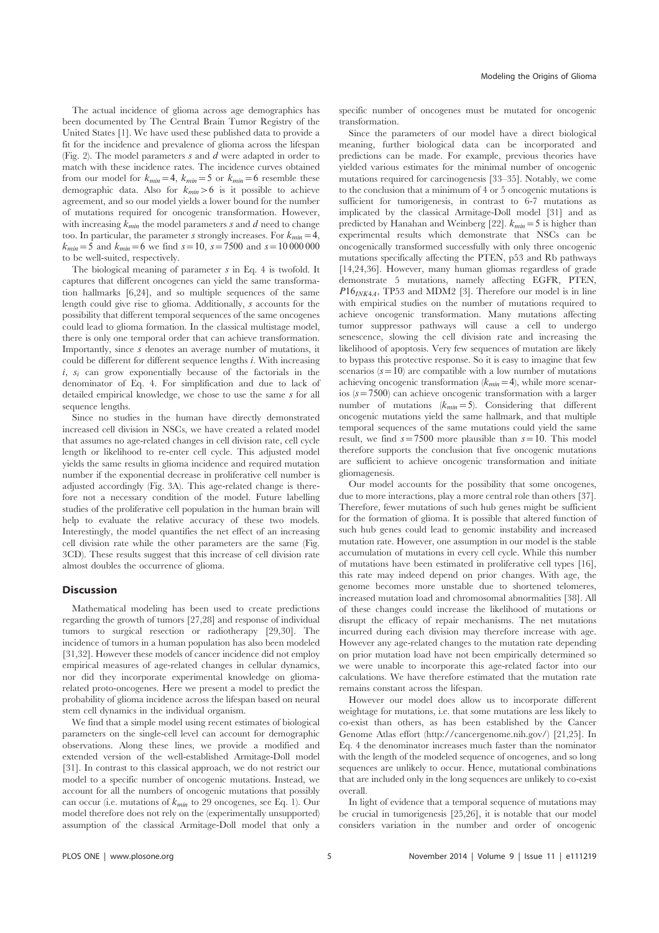The actual incidence of glioma across age demographics has been documented by The Central Brain Tumor Registry of the United States [1]. We have used these published data to provide a fit for the incidence and prevalence of glioma across the lifespan (Fig. 2). The model parameters s and d were adapted in order to match with these incidence rates. The incidence curves obtained from our model for  $k_{min}=4$ ,  $k_{min}=5$  or  $k_{min}=6$  resemble these demographic data. Also for  $k_{min} > 6$  is it possible to achieve agreement, and so our model yields a lower bound for the number of mutations required for oncogenic transformation. However, with increasing  $k_{min}$  the model parameters s and  $d$  need to change too. In particular, the parameter s strongly increases. For  $k_{min}=4$ ,  $k_{min} = 5$  and  $k_{min} = 6$  we find  $s = 10$ ,  $s = 7500$  and  $s = 100000000$ to be well-suited, respectively.

The biological meaning of parameter s in Eq. 4 is twofold. It captures that different oncogenes can yield the same transformation hallmarks [6,24], and so multiple sequences of the same length could give rise to glioma. Additionally, s accounts for the possibility that different temporal sequences of the same oncogenes could lead to glioma formation. In the classical multistage model, there is only one temporal order that can achieve transformation. Importantly, since s denotes an average number of mutations, it could be different for different sequence lengths i. With increasing  $i, s_i$  can grow exponentially because of the factorials in the denominator of Eq. 4. For simplification and due to lack of detailed empirical knowledge, we chose to use the same s for all sequence lengths.

Since no studies in the human have directly demonstrated increased cell division in NSCs, we have created a related model that assumes no age-related changes in cell division rate, cell cycle length or likelihood to re-enter cell cycle. This adjusted model yields the same results in glioma incidence and required mutation number if the exponential decrease in proliferative cell number is adjusted accordingly (Fig. 3A). This age-related change is therefore not a necessary condition of the model. Future labelling studies of the proliferative cell population in the human brain will help to evaluate the relative accuracy of these two models. Interestingly, the model quantifies the net effect of an increasing cell division rate while the other parameters are the same (Fig. 3CD). These results suggest that this increase of cell division rate almost doubles the occurrence of glioma.

#### **Discussion**

Mathematical modeling has been used to create predictions regarding the growth of tumors [27,28] and response of individual tumors to surgical resection or radiotherapy [29,30]. The incidence of tumors in a human population has also been modeled [31,32]. However these models of cancer incidence did not employ empirical measures of age-related changes in cellular dynamics, nor did they incorporate experimental knowledge on gliomarelated proto-oncogenes. Here we present a model to predict the probability of glioma incidence across the lifespan based on neural stem cell dynamics in the individual organism.

We find that a simple model using recent estimates of biological parameters on the single-cell level can account for demographic observations. Along these lines, we provide a modified and extended version of the well-established Armitage-Doll model [31]. In contrast to this classical approach, we do not restrict our model to a specific number of oncogenic mutations. Instead, we account for all the numbers of oncogenic mutations that possibly can occur (i.e. mutations of  $k_{min}$  to 29 oncogenes, see Eq. 1). Our model therefore does not rely on the (experimentally unsupported) assumption of the classical Armitage-Doll model that only a specific number of oncogenes must be mutated for oncogenic transformation.

Since the parameters of our model have a direct biological meaning, further biological data can be incorporated and predictions can be made. For example, previous theories have yielded various estimates for the minimal number of oncogenic mutations required for carcinogenesis [33–35]. Notably, we come to the conclusion that a minimum of 4 or 5 oncogenic mutations is sufficient for tumorigenesis, in contrast to 6-7 mutations as implicated by the classical Armitage-Doll model [31] and as predicted by Hanahan and Weinberg [22].  $k_{min} = 5$  is higher than experimental results which demonstrate that NSCs can be oncogenically transformed successfully with only three oncogenic mutations specifically affecting the PTEN, p53 and Rb pathways [14,24,36]. However, many human gliomas regardless of grade demonstrate 5 mutations, namely affecting EGFR, PTEN,  $P16<sub>INKA4</sub>$ , TP53 and MDM2 [3]. Therefore our model is in line with empirical studies on the number of mutations required to achieve oncogenic transformation. Many mutations affecting tumor suppressor pathways will cause a cell to undergo senescence, slowing the cell division rate and increasing the likelihood of apoptosis. Very few sequences of mutation are likely to bypass this protective response. So it is easy to imagine that few scenarios  $(s=10)$  are compatible with a low number of mutations achieving oncogenic transformation  $(k_{min}=4)$ , while more scenarios ( $s=7500$ ) can achieve oncogenic transformation with a larger number of mutations  $(k_{min}=5)$ . Considering that different oncogenic mutations yield the same hallmark, and that multiple temporal sequences of the same mutations could yield the same result, we find  $s=7500$  more plausible than  $s=10$ . This model therefore supports the conclusion that five oncogenic mutations are sufficient to achieve oncogenic transformation and initiate gliomagenesis.

Our model accounts for the possibility that some oncogenes, due to more interactions, play a more central role than others [37]. Therefore, fewer mutations of such hub genes might be sufficient for the formation of glioma. It is possible that altered function of such hub genes could lead to genomic instability and increased mutation rate. However, one assumption in our model is the stable accumulation of mutations in every cell cycle. While this number of mutations have been estimated in proliferative cell types [16], this rate may indeed depend on prior changes. With age, the genome becomes more unstable due to shortened telomeres, increased mutation load and chromosomal abnormalities [38]. All of these changes could increase the likelihood of mutations or disrupt the efficacy of repair mechanisms. The net mutations incurred during each division may therefore increase with age. However any age-related changes to the mutation rate depending on prior mutation load have not been empirically determined so we were unable to incorporate this age-related factor into our calculations. We have therefore estimated that the mutation rate remains constant across the lifespan.

However our model does allow us to incorporate different weightage for mutations, i.e. that some mutations are less likely to co-exist than others, as has been established by the Cancer Genome Atlas effort (http://cancergenome.nih.gov/) [21,25]. In Eq. 4 the denominator increases much faster than the nominator with the length of the modeled sequence of oncogenes, and so long sequences are unlikely to occur. Hence, mutational combinations that are included only in the long sequences are unlikely to co-exist overall.

In light of evidence that a temporal sequence of mutations may be crucial in tumorigenesis [25,26], it is notable that our model considers variation in the number and order of oncogenic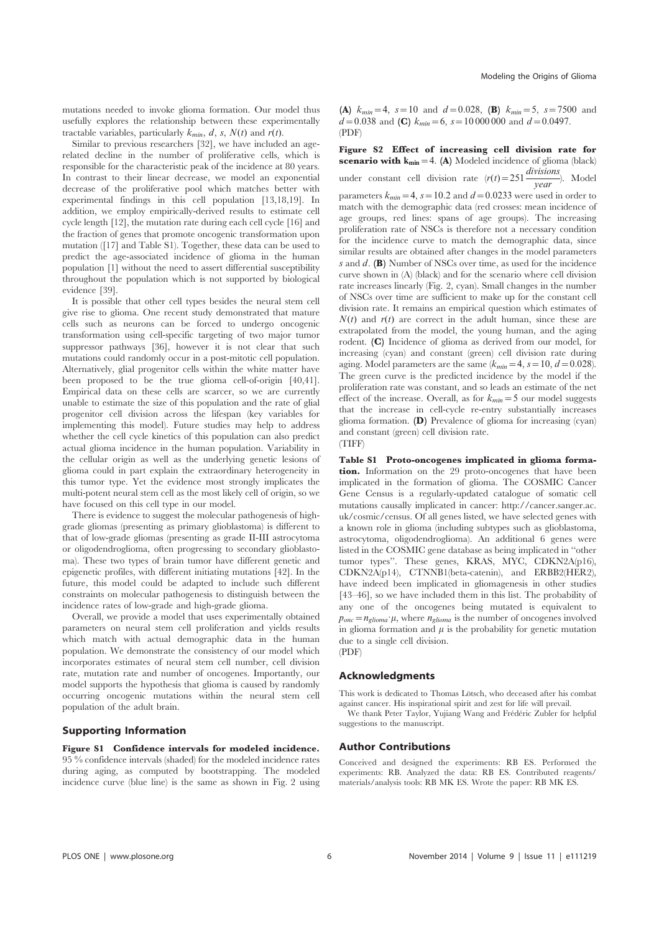mutations needed to invoke glioma formation. Our model thus usefully explores the relationship between these experimentally tractable variables, particularly  $k_{min}$ , d, s,  $N(t)$  and  $r(t)$ .

Similar to previous researchers [32], we have included an agerelated decline in the number of proliferative cells, which is responsible for the characteristic peak of the incidence at 80 years. In contrast to their linear decrease, we model an exponential decrease of the proliferative pool which matches better with experimental findings in this cell population [13,18,19]. In addition, we employ empirically-derived results to estimate cell cycle length [12], the mutation rate during each cell cycle [16] and the fraction of genes that promote oncogenic transformation upon mutation ([17] and Table S1). Together, these data can be used to predict the age-associated incidence of glioma in the human population [1] without the need to assert differential susceptibility throughout the population which is not supported by biological evidence [39].

It is possible that other cell types besides the neural stem cell give rise to glioma. One recent study demonstrated that mature cells such as neurons can be forced to undergo oncogenic transformation using cell-specific targeting of two major tumor suppressor pathways [36], however it is not clear that such mutations could randomly occur in a post-mitotic cell population. Alternatively, glial progenitor cells within the white matter have been proposed to be the true glioma cell-of-origin [40,41]. Empirical data on these cells are scarcer, so we are currently unable to estimate the size of this population and the rate of glial progenitor cell division across the lifespan (key variables for implementing this model). Future studies may help to address whether the cell cycle kinetics of this population can also predict actual glioma incidence in the human population. Variability in the cellular origin as well as the underlying genetic lesions of glioma could in part explain the extraordinary heterogeneity in this tumor type. Yet the evidence most strongly implicates the multi-potent neural stem cell as the most likely cell of origin, so we have focused on this cell type in our model.

There is evidence to suggest the molecular pathogenesis of highgrade gliomas (presenting as primary glioblastoma) is different to that of low-grade gliomas (presenting as grade II-III astrocytoma or oligodendroglioma, often progressing to secondary glioblastoma). These two types of brain tumor have different genetic and epigenetic profiles, with different initiating mutations [42]. In the future, this model could be adapted to include such different constraints on molecular pathogenesis to distinguish between the incidence rates of low-grade and high-grade glioma.

Overall, we provide a model that uses experimentally obtained parameters on neural stem cell proliferation and yields results which match with actual demographic data in the human population. We demonstrate the consistency of our model which incorporates estimates of neural stem cell number, cell division rate, mutation rate and number of oncogenes. Importantly, our model supports the hypothesis that glioma is caused by randomly occurring oncogenic mutations within the neural stem cell population of the adult brain.

#### Supporting Information

Figure S1 Confidence intervals for modeled incidence. 95 % confidence intervals (shaded) for the modeled incidence rates during aging, as computed by bootstrapping. The modeled incidence curve (blue line) is the same as shown in Fig. 2 using (A)  $k_{min} = 4$ ,  $s = 10$  and  $d = 0.028$ , (B)  $k_{min} = 5$ ,  $s = 7500$  and  $d=0.038$  and (C)  $k_{min}=6$ ,  $s=10000000$  and  $d=0.0497$ . (PDF)

Figure S2 Effect of increasing cell division rate for scenario with  $k_{min} = 4$ . (A) Modeled incidence of glioma (black) under constant cell division rate  $(r(t)=251 \frac{divisions}{year})$ . Model parameters  $k_{min} = 4$ ,  $s = 10.2$  and  $d = 0.0233$  were used in order to match with the demographic data (red crosses: mean incidence of age groups, red lines: spans of age groups). The increasing proliferation rate of NSCs is therefore not a necessary condition for the incidence curve to match the demographic data, since similar results are obtained after changes in the model parameters s and  $d$ . (B) Number of NSCs over time, as used for the incidence curve shown in (A) (black) and for the scenario where cell division rate increases linearly (Fig. 2, cyan). Small changes in the number of NSCs over time are sufficient to make up for the constant cell division rate. It remains an empirical question which estimates of  $N(t)$  and  $r(t)$  are correct in the adult human, since these are extrapolated from the model, the young human, and the aging rodent. (C) Incidence of glioma as derived from our model, for increasing (cyan) and constant (green) cell division rate during aging. Model parameters are the same  $(k_{min}=4, s=10, d=0.028)$ . The green curve is the predicted incidence by the model if the proliferation rate was constant, and so leads an estimate of the net effect of the increase. Overall, as for  $k_{min} = 5$  our model suggests that the increase in cell-cycle re-entry substantially increases glioma formation. (D) Prevalence of glioma for increasing (cyan) and constant (green) cell division rate. (TIFF)

Table S1 Proto-oncogenes implicated in glioma formation. Information on the 29 proto-oncogenes that have been implicated in the formation of glioma. The COSMIC Cancer Gene Census is a regularly-updated catalogue of somatic cell mutations causally implicated in cancer: http://cancer.sanger.ac. uk/cosmic/census. Of all genes listed, we have selected genes with a known role in glioma (including subtypes such as glioblastoma, astrocytoma, oligodendroglioma). An additional 6 genes were listed in the COSMIC gene database as being implicated in ''other tumor types''. These genes, KRAS, MYC, CDKN2A(p16), CDKN2A(p14), CTNNB1(beta-catenin), and ERBB2(HER2), have indeed been implicated in gliomagenesis in other studies [43–46], so we have included them in this list. The probability of any one of the oncogenes being mutated is equivalent to  $p_{\text{one}} = n_{\text{glioma}} \cdot \mu$ , where  $n_{\text{glioma}}$  is the number of oncogenes involved in glioma formation and  $\mu$  is the probability for genetic mutation due to a single cell division. (PDF)

#### Acknowledgments

This work is dedicated to Thomas Lötsch, who deceased after his combat against cancer. His inspirational spirit and zest for life will prevail.

We thank Peter Taylor, Yujiang Wang and Frédéric Zubler for helpful suggestions to the manuscript.

#### Author Contributions

Conceived and designed the experiments: RB ES. Performed the experiments: RB. Analyzed the data: RB ES. Contributed reagents/ materials/analysis tools: RB MK ES. Wrote the paper: RB MK ES.